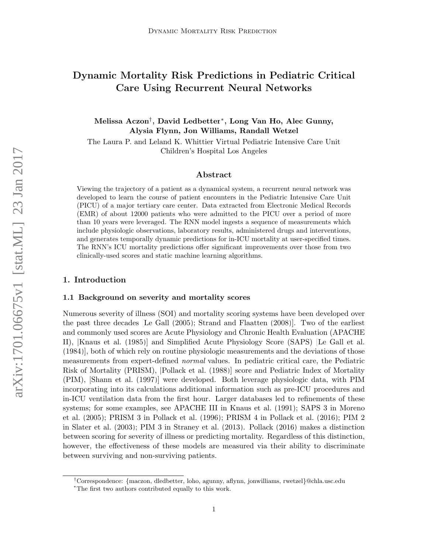## Dynamic Mortality Risk Predictions in Pediatric Critical Care Using Recurrent Neural Networks

Melissa Aczon† , David Ledbetter<sup>∗</sup> , Long Van Ho, Alec Gunny, Alysia Flynn, Jon Williams, Randall Wetzel

The Laura P. and Leland K. Whittier Virtual Pediatric Intensive Care Unit Children's Hospital Los Angeles

## Abstract

Viewing the trajectory of a patient as a dynamical system, a recurrent neural network was developed to learn the course of patient encounters in the Pediatric Intensive Care Unit (PICU) of a major tertiary care center. Data extracted from Electronic Medical Records (EMR) of about 12000 patients who were admitted to the PICU over a period of more than 10 years were leveraged. The RNN model ingests a sequence of measurements which include physiologic observations, laboratory results, administered drugs and interventions, and generates temporally dynamic predictions for in-ICU mortality at user-specified times. The RNN's ICU mortality predictions offer significant improvements over those from two clinically-used scores and static machine learning algorithms.

## 1. Introduction

#### 1.1 Background on severity and mortality scores

Numerous severity of illness (SOI) and mortality scoring systems have been developed over the past three decades [\[Le Gall](#page-10-0) [\(2005\)](#page-10-0); [Strand and Flaatten](#page-11-0) [\(2008\)](#page-11-0)]. Two of the earliest and commonly used scores are Acute Physiology and Chronic Health Evaluation (APACHE II), [\[Knaus et al.](#page-10-1) [\(1985\)](#page-10-1)] and Simplified Acute Physiology Score (SAPS) [\[Le Gall et al.](#page-11-1) [\(1984\)](#page-11-1)], both of which rely on routine physiologic measurements and the deviations of those measurements from expert-defined normal values. In pediatric critical care, the Pediatric Risk of Mortality (PRISM), [\[Pollack et al.](#page-11-2) [\(1988\)](#page-11-2)] score and Pediatric Index of Mortality (PIM), [\[Shann et al.](#page-11-3) [\(1997\)](#page-11-3)] were developed. Both leverage physiologic data, with PIM incorporating into its calculations additional information such as pre-ICU procedures and in-ICU ventilation data from the first hour. Larger databases led to refinements of these systems; for some examples, see APACHE III in [Knaus et al.](#page-10-2) [\(1991\)](#page-10-2); SAPS 3 in [Moreno](#page-11-4) [et al.](#page-11-4) [\(2005\)](#page-11-4); PRISM 3 in [Pollack et al.](#page-11-5) [\(1996\)](#page-11-5); PRISM 4 in [Pollack et al.](#page-11-6) [\(2016\)](#page-11-6); PIM 2 in [Slater et al.](#page-11-7) [\(2003\)](#page-11-7); PIM 3 in [Straney et al.](#page-12-0) [\(2013\)](#page-12-0). [Pollack](#page-11-8) [\(2016\)](#page-11-8) makes a distinction between scoring for severity of illness or predicting mortality. Regardless of this distinction, however, the effectiveness of these models are measured via their ability to discriminate between surviving and non-surviving patients.

<sup>†</sup>Correspondence: {maczon, dledbetter, loho, agunny, aflynn, jonwilliams, rwetzel}@chla.usc.edu

<sup>∗</sup>The first two authors contributed equally to this work.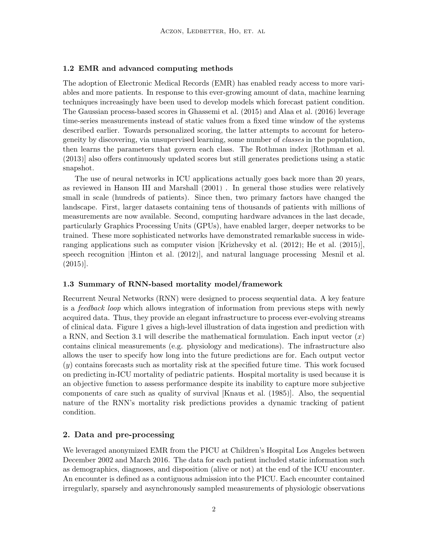#### 1.2 EMR and advanced computing methods

The adoption of Electronic Medical Records (EMR) has enabled ready access to more variables and more patients. In response to this ever-growing amount of data, machine learning techniques increasingly have been used to develop models which forecast patient condition. The Gaussian process-based scores in [Ghassemi et al.](#page-10-3) [\(2015\)](#page-10-3) and [Alaa et al.](#page-9-0) [\(2016\)](#page-9-0) leverage time-series measurements instead of static values from a fixed time window of the systems described earlier. Towards personalized scoring, the latter attempts to account for heterogeneity by discovering, via unsupervised learning, some number of classes in the population, then learns the parameters that govern each class. The Rothman index [\[Rothman et al.](#page-11-9) [\(2013\)](#page-11-9)] also offers continuously updated scores but still generates predictions using a static snapshot.

The use of neural networks in ICU applications actually goes back more than 20 years, as reviewed in [Hanson III and Marshall](#page-10-4) [\(2001\)](#page-10-4) . In general those studies were relatively small in scale (hundreds of patients). Since then, two primary factors have changed the landscape. First, larger datasets containing tens of thousands of patients with millions of measurements are now available. Second, computing hardware advances in the last decade, particularly Graphics Processing Units (GPUs), have enabled larger, deeper networks to be trained. These more sophisticated networks have demonstrated remarkable success in wideranging applications such as computer vision [\[Krizhevsky et al.](#page-10-5) [\(2012\)](#page-10-5); [He et al.](#page-10-6) [\(2015\)](#page-10-6)], speech recognition [\[Hinton et al.](#page-10-7) [\(2012\)](#page-10-7)], and natural language processing [\[Mesnil et al.](#page-11-10) [\(2015\)](#page-11-10)].

## 1.3 Summary of RNN-based mortality model/framework

Recurrent Neural Networks (RNN) were designed to process sequential data. A key feature is a feedback loop which allows integration of information from previous steps with newly acquired data. Thus, they provide an elegant infrastructure to process ever-evolving streams of clinical data. Figure 1 gives a high-level illustration of data ingestion and prediction with a RNN, and Section 3.1 will describe the mathematical formulation. Each input vector  $(x)$ contains clinical measurements (e.g. physiology and medications). The infrastructure also allows the user to specify how long into the future predictions are for. Each output vector (y) contains forecasts such as mortality risk at the specified future time. This work focused on predicting in-ICU mortality of pediatric patients. Hospital mortality is used because it is an objective function to assess performance despite its inability to capture more subjective components of care such as quality of survival [\[Knaus et al.](#page-10-1) [\(1985\)](#page-10-1)]. Also, the sequential nature of the RNN's mortality risk predictions provides a dynamic tracking of patient condition.

## 2. Data and pre-processing

We leveraged anonymized EMR from the PICU at Children's Hospital Los Angeles between December 2002 and March 2016. The data for each patient included static information such as demographics, diagnoses, and disposition (alive or not) at the end of the ICU encounter. An encounter is defined as a contiguous admission into the PICU. Each encounter contained irregularly, sparsely and asynchronously sampled measurements of physiologic observations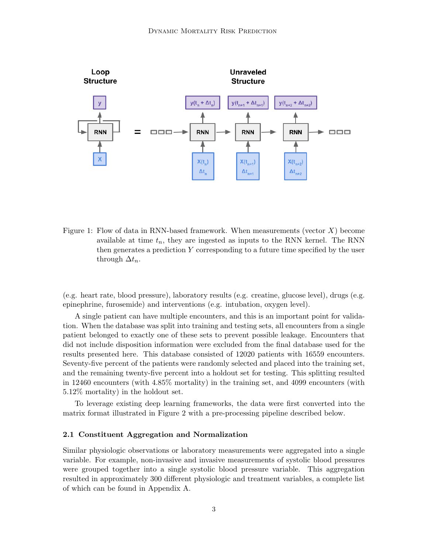

Figure 1: Flow of data in RNN-based framework. When measurements (vector  $X$ ) become available at time  $t_n$ , they are ingested as inputs to the RNN kernel. The RNN then generates a prediction Y corresponding to a future time specified by the user through  $\Delta t_n$ .

(e.g. heart rate, blood pressure), laboratory results (e.g. creatine, glucose level), drugs (e.g. epinephrine, furosemide) and interventions (e.g. intubation, oxygen level).

A single patient can have multiple encounters, and this is an important point for validation. When the database was split into training and testing sets, all encounters from a single patient belonged to exactly one of these sets to prevent possible leakage. Encounters that did not include disposition information were excluded from the final database used for the results presented here. This database consisted of 12020 patients with 16559 encounters. Seventy-five percent of the patients were randomly selected and placed into the training set, and the remaining twenty-five percent into a holdout set for testing. This splitting resulted in 12460 encounters (with 4.85% mortality) in the training set, and 4099 encounters (with 5.12% mortality) in the holdout set.

To leverage existing deep learning frameworks, the data were first converted into the matrix format illustrated in Figure [2](#page-3-0) with a pre-processing pipeline described below.

#### 2.1 Constituent Aggregation and Normalization

Similar physiologic observations or laboratory measurements were aggregated into a single variable. For example, non-invasive and invasive measurements of systolic blood pressures were grouped together into a single systolic blood pressure variable. This aggregation resulted in approximately 300 different physiologic and treatment variables, a complete list of which can be found in Appendix A.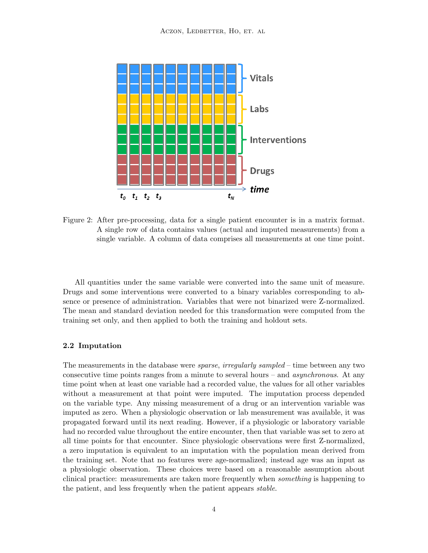

<span id="page-3-0"></span>Figure 2: After pre-processing, data for a single patient encounter is in a matrix format. A single row of data contains values (actual and imputed measurements) from a single variable. A column of data comprises all measurements at one time point.

All quantities under the same variable were converted into the same unit of measure. Drugs and some interventions were converted to a binary variables corresponding to absence or presence of administration. Variables that were not binarized were Z-normalized. The mean and standard deviation needed for this transformation were computed from the training set only, and then applied to both the training and holdout sets.

## 2.2 Imputation

The measurements in the database were *sparse, irregularly sampled* – time between any two consecutive time points ranges from a minute to several hours – and asynchronous. At any time point when at least one variable had a recorded value, the values for all other variables without a measurement at that point were imputed. The imputation process depended on the variable type. Any missing measurement of a drug or an intervention variable was imputed as zero. When a physiologic observation or lab measurement was available, it was propagated forward until its next reading. However, if a physiologic or laboratory variable had no recorded value throughout the entire encounter, then that variable was set to zero at all time points for that encounter. Since physiologic observations were first Z-normalized, a zero imputation is equivalent to an imputation with the population mean derived from the training set. Note that no features were age-normalized; instead age was an input as a physiologic observation. These choices were based on a reasonable assumption about clinical practice: measurements are taken more frequently when something is happening to the patient, and less frequently when the patient appears stable.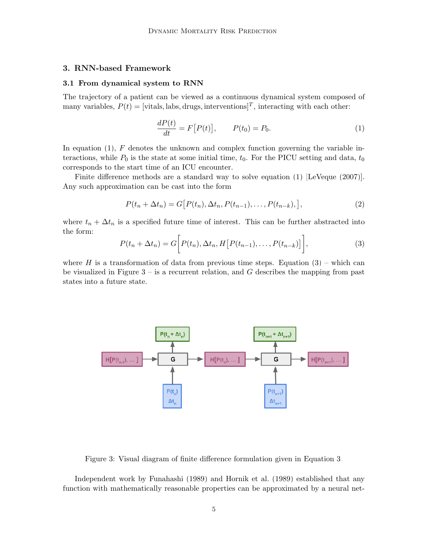## 3. RNN-based Framework

#### 3.1 From dynamical system to RNN

The trajectory of a patient can be viewed as a continuous dynamical system composed of many variables,  $P(t) = [\text{vitals}, \text{labs}, \text{drugs}, \text{interventions}]^T$ , interacting with each other:

<span id="page-4-3"></span><span id="page-4-0"></span>
$$
\frac{dP(t)}{dt} = F[P(t)], \qquad P(t_0) = P_0.
$$
 (1)

In equation  $(1)$ , F denotes the unknown and complex function governing the variable interactions, while  $P_0$  is the state at some initial time,  $t_0$ . For the PICU setting and data,  $t_0$ corresponds to the start time of an ICU encounter.

Finite difference methods are a standard way to solve equation [\(1\)](#page-4-0) [\[LeVeque](#page-11-11) [\(2007\)](#page-11-11)]. Any such approximation can be cast into the form

$$
P(t_n + \Delta t_n) = G[P(t_n), \Delta t_n, P(t_{n-1}), \dots, P(t_{n-k}),],
$$
\n(2)

where  $t_n + \Delta t_n$  is a specified future time of interest. This can be further abstracted into the form:

<span id="page-4-1"></span>
$$
P(t_n + \Delta t_n) = G\bigg[P(t_n), \Delta t_n, H\big[P(t_{n-1}), \ldots, P(t_{n-k})\big]\bigg],\tag{3}
$$

where H is a transformation of data from previous time steps. Equation  $(3)$  – which can be visualized in Figure  $3 -$  is a recurrent relation, and G describes the mapping from past states into a future state.



<span id="page-4-2"></span>Figure 3: Visual diagram of finite difference formulation given in Equation [3.](#page-4-1)

Independent work by [Funahashi](#page-10-8) [\(1989\)](#page-10-8) and [Hornik et al.](#page-10-9) [\(1989\)](#page-10-9) established that any function with mathematically reasonable properties can be approximated by a neural net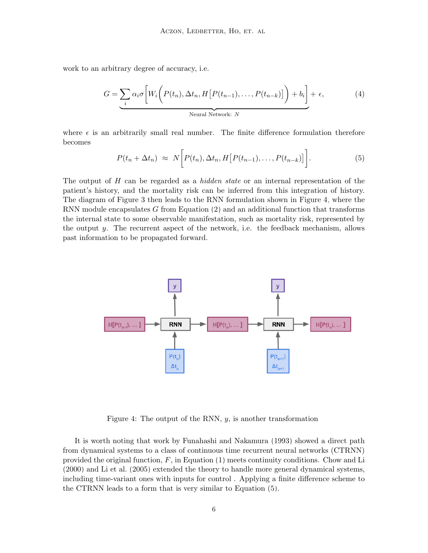work to an arbitrary degree of accuracy, i.e.

$$
G = \underbrace{\sum_{i} \alpha_i \sigma \left[ W_i \left( P(t_n), \Delta t_n, H \left[ P(t_{n-1}), \dots, P(t_{n-k}) \right] \right) + b_i \right] + \epsilon}_{\text{Neural Network: } N}, \tag{4}
$$

where  $\epsilon$  is an arbitrarily small real number. The finite difference formulation therefore becomes

<span id="page-5-1"></span>
$$
P(t_n + \Delta t_n) \approx N \bigg[ P(t_n), \Delta t_n, H \big[ P(t_{n-1}), \dots, P(t_{n-k}) \big] \bigg]. \tag{5}
$$

The output of H can be regarded as a *hidden state* or an internal representation of the patient's history, and the mortality risk can be inferred from this integration of history. The diagram of Figure [3](#page-4-2) then leads to the RNN formulation shown in Figure [4,](#page-5-0) where the RNN module encapsulates G from Equation [\(2\)](#page-4-3) and an additional function that transforms the internal state to some observable manifestation, such as mortality risk, represented by the output  $y$ . The recurrent aspect of the network, i.e. the feedback mechanism, allows past information to be propagated forward.



<span id="page-5-0"></span>Figure 4: The output of the RNN,  $y$ , is another transformation

It is worth noting that work by [Funahashi and Nakamura](#page-10-10) [\(1993\)](#page-10-10) showed a direct path from dynamical systems to a class of continuous time recurrent neural networks (CTRNN) provided the original function,  $F$ , in Equation [\(1\)](#page-4-0) meets continuity conditions. [Chow and Li](#page-9-1) [\(2000\)](#page-9-1) and [Li et al.](#page-11-12) [\(2005\)](#page-11-12) extended the theory to handle more general dynamical systems, including time-variant ones with inputs for control . Applying a finite difference scheme to the CTRNN leads to a form that is very similar to Equation [\(5\)](#page-5-1).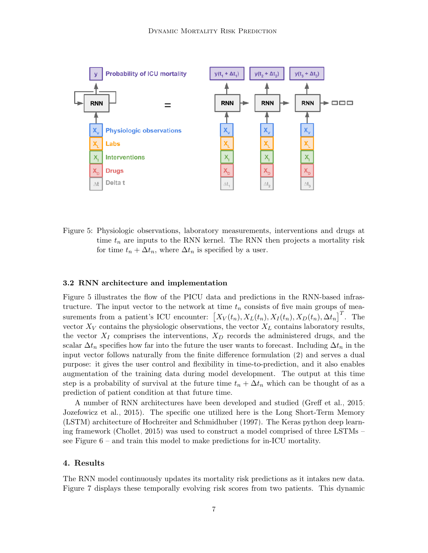

<span id="page-6-0"></span>Figure 5: Physiologic observations, laboratory measurements, interventions and drugs at time  $t_n$  are inputs to the RNN kernel. The RNN then projects a mortality risk for time  $t_n + \Delta t_n$ , where  $\Delta t_n$  is specified by a user.

#### 3.2 RNN architecture and implementation

Figure [5](#page-6-0) illustrates the flow of the PICU data and predictions in the RNN-based infrastructure. The input vector to the network at time  $t_n$  consists of five main groups of measurements from a patient's ICU encounter:  $\left[X_V(t_n), X_L(t_n), X_I(t_n), X_D(t_n), \Delta t_n\right]^T$ . The vector  $X_V$  contains the physiologic observations, the vector  $X_L$  contains laboratory results, the vector  $X_I$  comprises the interventions,  $X_D$  records the administered drugs, and the scalar  $\Delta t_n$  specifies how far into the future the user wants to forecast. Including  $\Delta t_n$  in the input vector follows naturally from the finite difference formulation [\(2\)](#page-4-3) and serves a dual purpose: it gives the user control and flexibility in time-to-prediction, and it also enables augmentation of the training data during model development. The output at this time step is a probability of survival at the future time  $t_n + \Delta t_n$  which can be thought of as a prediction of patient condition at that future time.

A number of RNN architectures have been developed and studied [\(Greff et al., 2015;](#page-10-11) [Jozefowicz et al., 2015\)](#page-10-12). The specific one utilized here is the Long Short-Term Memory (LSTM) architecture of [Hochreiter and Schmidhuber](#page-10-13) [\(1997\)](#page-10-13). The Keras python deep learning framework [\(Chollet, 2015\)](#page-9-2) was used to construct a model comprised of three LSTMs – see Figure  $6$  – and train this model to make predictions for in-ICU mortality.

## 4. Results

The RNN model continuously updates its mortality risk predictions as it intakes new data. Figure [7](#page-7-1) displays these temporally evolving risk scores from two patients. This dynamic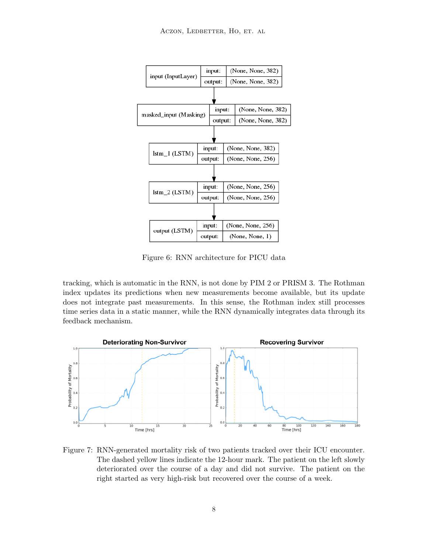

<span id="page-7-0"></span>Figure 6: RNN architecture for PICU data

tracking, which is automatic in the RNN, is not done by PIM 2 or PRISM 3. The Rothman index updates its predictions when new measurements become available, but its update does not integrate past measurements. In this sense, the Rothman index still processes time series data in a static manner, while the RNN dynamically integrates data through its feedback mechanism.



<span id="page-7-1"></span>Figure 7: RNN-generated mortality risk of two patients tracked over their ICU encounter. The dashed yellow lines indicate the 12-hour mark. The patient on the left slowly deteriorated over the course of a day and did not survive. The patient on the right started as very high-risk but recovered over the course of a week.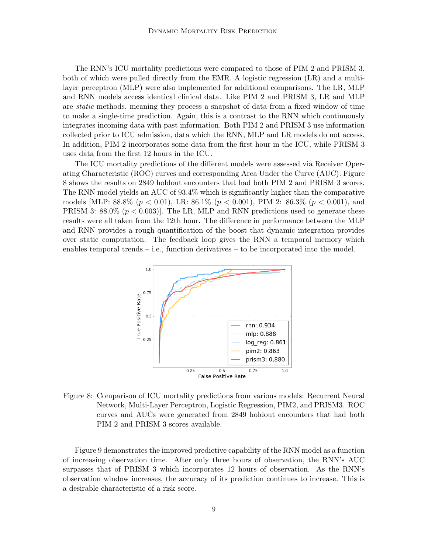The RNN's ICU mortality predictions were compared to those of PIM 2 and PRISM 3, both of which were pulled directly from the EMR. A logistic regression (LR) and a multilayer perceptron (MLP) were also implemented for additional comparisons. The LR, MLP and RNN models access identical clinical data. Like PIM 2 and PRISM 3, LR and MLP are static methods, meaning they process a snapshot of data from a fixed window of time to make a single-time prediction. Again, this is a contrast to the RNN which continuously integrates incoming data with past information. Both PIM 2 and PRISM 3 use information collected prior to ICU admission, data which the RNN, MLP and LR models do not access. In addition, PIM 2 incorporates some data from the first hour in the ICU, while PRISM 3 uses data from the first 12 hours in the ICU.

The ICU mortality predictions of the different models were assessed via Receiver Operating Characteristic (ROC) curves and corresponding Area Under the Curve (AUC). Figure [8](#page-8-0) shows the results on 2849 holdout encounters that had both PIM 2 and PRISM 3 scores. The RNN model yields an AUC of 93.4% which is significantly higher than the comparative models [MLP:  $88.8\%$  ( $p < 0.01$ ), LR:  $86.1\%$  ( $p < 0.001$ ), PIM 2:  $86.3\%$  ( $p < 0.001$ ), and PRISM 3: 88.0%  $(p < 0.003)$ . The LR, MLP and RNN predictions used to generate these results were all taken from the 12th hour. The difference in performance between the MLP and RNN provides a rough quantification of the boost that dynamic integration provides over static computation. The feedback loop gives the RNN a temporal memory which enables temporal trends – i.e., function derivatives – to be incorporated into the model.



<span id="page-8-0"></span>Figure 8: Comparison of ICU mortality predictions from various models: Recurrent Neural Network, Multi-Layer Perceptron, Logistic Regression, PIM2, and PRISM3. ROC curves and AUCs were generated from 2849 holdout encounters that had both PIM 2 and PRISM 3 scores available.

Figure [9](#page-9-3) demonstrates the improved predictive capability of the RNN model as a function of increasing observation time. After only three hours of observation, the RNN's AUC surpasses that of PRISM 3 which incorporates 12 hours of observation. As the RNN's observation window increases, the accuracy of its prediction continues to increase. This is a desirable characteristic of a risk score.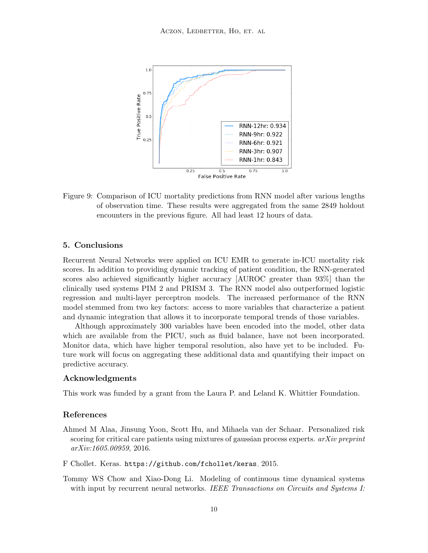

<span id="page-9-3"></span>Figure 9: Comparison of ICU mortality predictions from RNN model after various lengths of observation time. These results were aggregated from the same 2849 holdout encounters in the previous figure. All had least 12 hours of data.

## 5. Conclusions

Recurrent Neural Networks were applied on ICU EMR to generate in-ICU mortality risk scores. In addition to providing dynamic tracking of patient condition, the RNN-generated scores also achieved significantly higher accuracy [AUROC greater than 93%] than the clinically used systems PIM 2 and PRISM 3. The RNN model also outperformed logistic regression and multi-layer perceptron models. The increased performance of the RNN model stemmed from two key factors: access to more variables that characterize a patient and dynamic integration that allows it to incorporate temporal trends of those variables.

Although approximately 300 variables have been encoded into the model, other data which are available from the PICU, such as fluid balance, have not been incorporated. Monitor data, which have higher temporal resolution, also have yet to be included. Future work will focus on aggregating these additional data and quantifying their impact on predictive accuracy.

## Acknowledgments

This work was funded by a grant from the Laura P. and Leland K. Whittier Foundation.

## References

- <span id="page-9-0"></span>Ahmed M Alaa, Jinsung Yoon, Scott Hu, and Mihaela van der Schaar. Personalized risk scoring for critical care patients using mixtures of gaussian process experts.  $arXiv$  preprint arXiv:1605.00959, 2016.
- <span id="page-9-2"></span>F Chollet. Keras. <https://github.com/fchollet/keras>, 2015.
- <span id="page-9-1"></span>Tommy WS Chow and Xiao-Dong Li. Modeling of continuous time dynamical systems with input by recurrent neural networks. IEEE Transactions on Circuits and Systems I: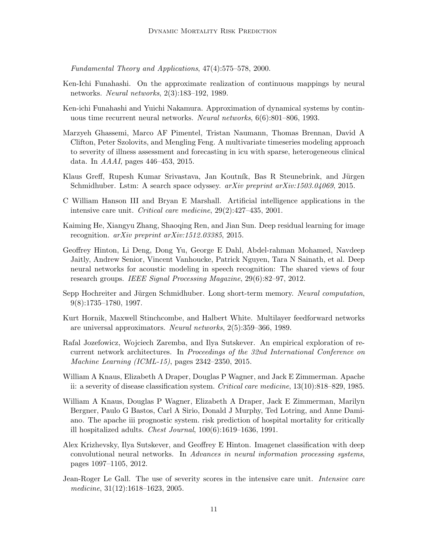Fundamental Theory and Applications, 47(4):575–578, 2000.

- <span id="page-10-8"></span>Ken-Ichi Funahashi. On the approximate realization of continuous mappings by neural networks. Neural networks, 2(3):183–192, 1989.
- <span id="page-10-10"></span>Ken-ichi Funahashi and Yuichi Nakamura. Approximation of dynamical systems by continuous time recurrent neural networks. Neural networks, 6(6):801–806, 1993.
- <span id="page-10-3"></span>Marzyeh Ghassemi, Marco AF Pimentel, Tristan Naumann, Thomas Brennan, David A Clifton, Peter Szolovits, and Mengling Feng. A multivariate timeseries modeling approach to severity of illness assessment and forecasting in icu with sparse, heterogeneous clinical data. In AAAI, pages 446–453, 2015.
- <span id="page-10-11"></span>Klaus Greff, Rupesh Kumar Srivastava, Jan Koutník, Bas R Steunebrink, and Jürgen Schmidhuber. Lstm: A search space odyssey. arXiv preprint arXiv:1503.04069, 2015.
- <span id="page-10-4"></span>C William Hanson III and Bryan E Marshall. Artificial intelligence applications in the intensive care unit. Critical care medicine, 29(2):427–435, 2001.
- <span id="page-10-6"></span>Kaiming He, Xiangyu Zhang, Shaoqing Ren, and Jian Sun. Deep residual learning for image recognition. arXiv preprint arXiv:1512.03385, 2015.
- <span id="page-10-7"></span>Geoffrey Hinton, Li Deng, Dong Yu, George E Dahl, Abdel-rahman Mohamed, Navdeep Jaitly, Andrew Senior, Vincent Vanhoucke, Patrick Nguyen, Tara N Sainath, et al. Deep neural networks for acoustic modeling in speech recognition: The shared views of four research groups. IEEE Signal Processing Magazine, 29(6):82–97, 2012.
- <span id="page-10-13"></span>Sepp Hochreiter and Jürgen Schmidhuber. Long short-term memory. Neural computation, 9(8):1735–1780, 1997.
- <span id="page-10-9"></span>Kurt Hornik, Maxwell Stinchcombe, and Halbert White. Multilayer feedforward networks are universal approximators. Neural networks, 2(5):359–366, 1989.
- <span id="page-10-12"></span>Rafal Jozefowicz, Wojciech Zaremba, and Ilya Sutskever. An empirical exploration of recurrent network architectures. In Proceedings of the 32nd International Conference on Machine Learning (ICML-15), pages 2342–2350, 2015.
- <span id="page-10-1"></span>William A Knaus, Elizabeth A Draper, Douglas P Wagner, and Jack E Zimmerman. Apache ii: a severity of disease classification system. Critical care medicine, 13(10):818–829, 1985.
- <span id="page-10-2"></span>William A Knaus, Douglas P Wagner, Elizabeth A Draper, Jack E Zimmerman, Marilyn Bergner, Paulo G Bastos, Carl A Sirio, Donald J Murphy, Ted Lotring, and Anne Damiano. The apache iii prognostic system. risk prediction of hospital mortality for critically ill hospitalized adults. Chest Journal, 100(6):1619–1636, 1991.
- <span id="page-10-5"></span>Alex Krizhevsky, Ilya Sutskever, and Geoffrey E Hinton. Imagenet classification with deep convolutional neural networks. In Advances in neural information processing systems, pages 1097–1105, 2012.
- <span id="page-10-0"></span>Jean-Roger Le Gall. The use of severity scores in the intensive care unit. Intensive care medicine, 31(12):1618–1623, 2005.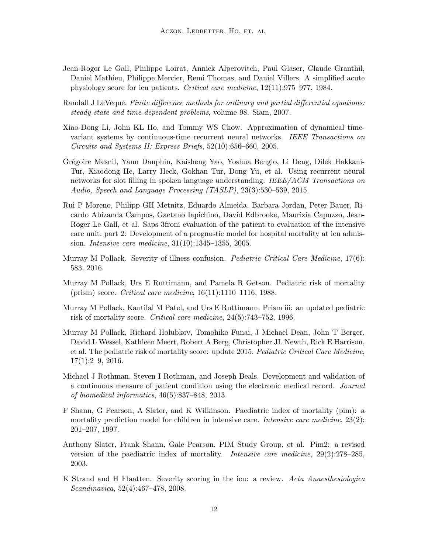- <span id="page-11-1"></span>Jean-Roger Le Gall, Philippe Loirat, Annick Alperovitch, Paul Glaser, Claude Granthil, Daniel Mathieu, Philippe Mercier, Remi Thomas, and Daniel Villers. A simplified acute physiology score for icu patients. Critical care medicine, 12(11):975–977, 1984.
- <span id="page-11-11"></span>Randall J LeVeque. Finite difference methods for ordinary and partial differential equations: steady-state and time-dependent problems, volume 98. Siam, 2007.
- <span id="page-11-12"></span>Xiao-Dong Li, John KL Ho, and Tommy WS Chow. Approximation of dynamical timevariant systems by continuous-time recurrent neural networks. IEEE Transactions on Circuits and Systems II: Express Briefs, 52(10):656–660, 2005.
- <span id="page-11-10"></span>Gr´egoire Mesnil, Yann Dauphin, Kaisheng Yao, Yoshua Bengio, Li Deng, Dilek Hakkani-Tur, Xiaodong He, Larry Heck, Gokhan Tur, Dong Yu, et al. Using recurrent neural networks for slot filling in spoken language understanding. IEEE/ACM Transactions on Audio, Speech and Language Processing (TASLP), 23(3):530–539, 2015.
- <span id="page-11-4"></span>Rui P Moreno, Philipp GH Metnitz, Eduardo Almeida, Barbara Jordan, Peter Bauer, Ricardo Abizanda Campos, Gaetano Iapichino, David Edbrooke, Maurizia Capuzzo, Jean-Roger Le Gall, et al. Saps 3from evaluation of the patient to evaluation of the intensive care unit. part 2: Development of a prognostic model for hospital mortality at icu admission. Intensive care medicine, 31(10):1345–1355, 2005.
- <span id="page-11-8"></span>Murray M Pollack. Severity of illness confusion. *Pediatric Critical Care Medicine*, 17(6): 583, 2016.
- <span id="page-11-2"></span>Murray M Pollack, Urs E Ruttimann, and Pamela R Getson. Pediatric risk of mortality (prism) score. Critical care medicine, 16(11):1110–1116, 1988.
- <span id="page-11-5"></span>Murray M Pollack, Kantilal M Patel, and Urs E Ruttimann. Prism iii: an updated pediatric risk of mortality score. Critical care medicine, 24(5):743–752, 1996.
- <span id="page-11-6"></span>Murray M Pollack, Richard Holubkov, Tomohiko Funai, J Michael Dean, John T Berger, David L Wessel, Kathleen Meert, Robert A Berg, Christopher JL Newth, Rick E Harrison, et al. The pediatric risk of mortality score: update 2015. Pediatric Critical Care Medicine,  $17(1):2-9, 2016.$
- <span id="page-11-9"></span>Michael J Rothman, Steven I Rothman, and Joseph Beals. Development and validation of a continuous measure of patient condition using the electronic medical record. Journal of biomedical informatics, 46(5):837–848, 2013.
- <span id="page-11-3"></span>F Shann, G Pearson, A Slater, and K Wilkinson. Paediatric index of mortality (pim): a mortality prediction model for children in intensive care. *Intensive care medicine*, 23(2): 201–207, 1997.
- <span id="page-11-7"></span>Anthony Slater, Frank Shann, Gale Pearson, PIM Study Group, et al. Pim2: a revised version of the paediatric index of mortality. Intensive care medicine, 29(2):278–285, 2003.
- <span id="page-11-0"></span>K Strand and H Flaatten. Severity scoring in the icu: a review. Acta Anaesthesiologica Scandinavica, 52(4):467–478, 2008.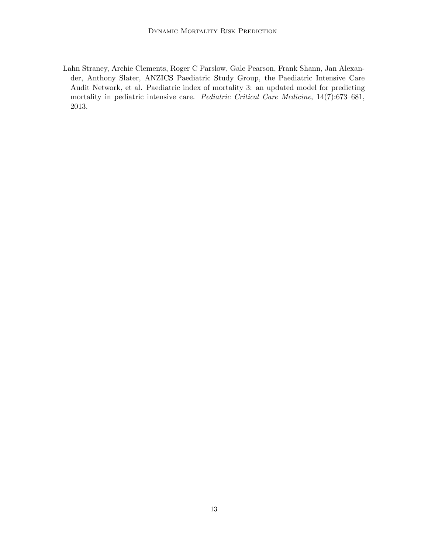<span id="page-12-0"></span>Lahn Straney, Archie Clements, Roger C Parslow, Gale Pearson, Frank Shann, Jan Alexander, Anthony Slater, ANZICS Paediatric Study Group, the Paediatric Intensive Care Audit Network, et al. Paediatric index of mortality 3: an updated model for predicting mortality in pediatric intensive care. Pediatric Critical Care Medicine, 14(7):673–681, 2013.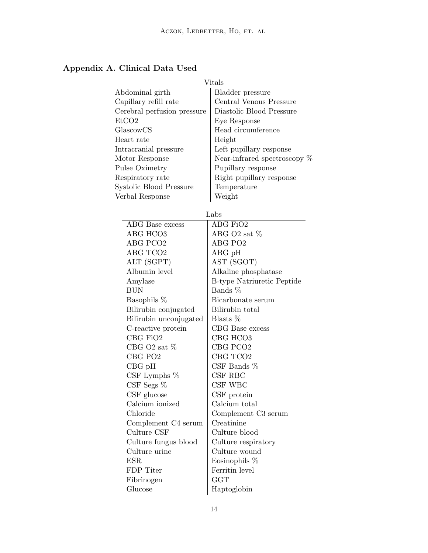|                             | Vitals                         |  |
|-----------------------------|--------------------------------|--|
| Abdominal girth             | Bladder pressure               |  |
| Capillary refill rate       | Central Venous Pressure        |  |
| Cerebral perfusion pressure | Diastolic Blood Pressure       |  |
| EtCO <sub>2</sub>           | Eye Response                   |  |
| GlascowCS                   | Head circumference             |  |
| Heart rate                  | Height                         |  |
| Intracranial pressure       | Left pupillary response        |  |
| Motor Response              | Near-infrared spectroscopy $%$ |  |
| Pulse Oximetry              | Pupillary response             |  |
| Respiratory rate            | Right pupillary response       |  |
| Systolic Blood Pressure     | Temperature                    |  |
| Verbal Response             | Weight                         |  |
|                             |                                |  |
| Labs                        |                                |  |
| ABG Base excess             | ABG FiO2                       |  |
| ABG HCO3                    | ABG O2 sat %                   |  |
| ABG PCO <sub>2</sub>        | ABG PO <sub>2</sub>            |  |
| ABG TCO2                    | $\rm{ABG}$ pH                  |  |
| ALT (SGPT)                  | AST (SGOT)                     |  |
| Albumin level               | Alkaline phosphatase           |  |
| Amylase                     | B-type Natriuretic Peptide     |  |
| <b>BUN</b>                  | Bands %                        |  |
| Basophils %                 | Bicarbonate serum              |  |
| Bilirubin conjugated        | Bilirubin total                |  |
| Bilirubin unconjugated      | Blasts $%$                     |  |
| C-reactive protein          | CBG Base excess                |  |
| CBG FiO2                    | CBG HCO3                       |  |
| CBG O2 sat $%$              | CBG PCO <sub>2</sub>           |  |
| CBG PO <sub>2</sub>         | CBG TCO <sub>2</sub>           |  |
| $CBG$ pH                    | CSF Bands $%$                  |  |
| CSF Lymphs $%$              | CSF RBC                        |  |
| $CSF$ Segs $%$              | CSF WBC                        |  |
| $CSF$ glucose               | CSF protein                    |  |
| Calcium ionized             | Calcium total                  |  |
| Chloride                    | Complement C3 serum            |  |
| Complement C4 serum         | Creatinine                     |  |
| Culture CSF                 | Culture blood                  |  |
| Culture fungus blood        | Culture respiratory            |  |
| Culture urine               | Culture wound                  |  |
| ESR                         | Eosinophils $%$                |  |
| FDP Titer                   | Ferritin level                 |  |
| Fibrinogen                  | <b>GGT</b>                     |  |
| Glucose                     | Haptoglobin                    |  |

# Appendix A. Clinical Data Used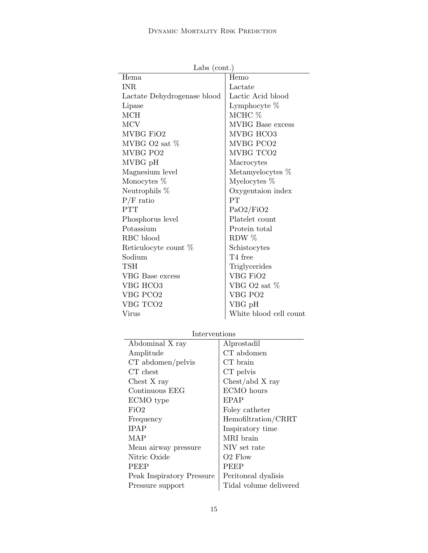|                             | Labs $(cont.)$          |  |
|-----------------------------|-------------------------|--|
| Hema                        | Hemo                    |  |
| <b>INR</b>                  | Lactate                 |  |
| Lactate Dehydrogenase blood | Lactic Acid blood       |  |
| Lipase                      | Lymphocyte $%$          |  |
| <b>MCH</b>                  | MCHC %                  |  |
| <b>MCV</b>                  | <b>MVBG</b> Base excess |  |
| MVBG FiO2                   | MVBG HCO3               |  |
| MVBG $O2$ sat $%$           | MVBG PCO2               |  |
| MVBG PO2                    | MVBG TCO2               |  |
| MVBG pH                     | Macrocytes              |  |
| Magnesium level             | Metamyelocytes %        |  |
| Monocytes %                 | Myelocytes $%$          |  |
| Neutrophils \%              | Oxygentaion index       |  |
| $P/F$ ratio                 | PT                      |  |
| <b>PTT</b>                  | PaO2/FiO2               |  |
| Phosphorus level            | Platelet count          |  |
| Potassium                   | Protein total           |  |
| RBC blood                   | RDW $%$                 |  |
| Reticulocyte count %        | Schistocytes            |  |
| Sodium                      | T4 free                 |  |
| TSH                         | Triglycerides           |  |
| <b>VBG</b> Base excess      | VBG FiO2                |  |
| VBG HCO3                    | VBG O2 sat %            |  |
| VBG PCO <sub>2</sub>        | VBG PO <sub>2</sub>     |  |
| VBG TCO2                    | VBG pH                  |  |
| Virus                       | White blood cell count  |  |
|                             |                         |  |

Labs (cont.)

## Interventions

| Interventions             |                        |  |
|---------------------------|------------------------|--|
| Abdominal X ray           | Alprostadil            |  |
| Amplitude                 | CT abdomen             |  |
| $CT$ abdomen/pelvis       | CT brain               |  |
| CT chest                  | CT pelvis              |  |
| Chest X ray               | Check/abd X ray        |  |
| Continuous EEG            | ECMO hours             |  |
| ECMO type                 | EPAP                   |  |
| FiO2                      | Foley catheter         |  |
| Frequency                 | Hemofiltration/CRRT    |  |
| <b>IPAP</b>               | Inspiratory time       |  |
| MAP                       | MRI brain              |  |
| Mean airway pressure      | NIV set rate           |  |
| Nitric Oxide              | O <sub>2</sub> Flow    |  |
| <b>PEEP</b>               | <b>PEEP</b>            |  |
| Peak Inspiratory Pressure | Peritoneal dyalisis    |  |
| Pressure support          | Tidal volume delivered |  |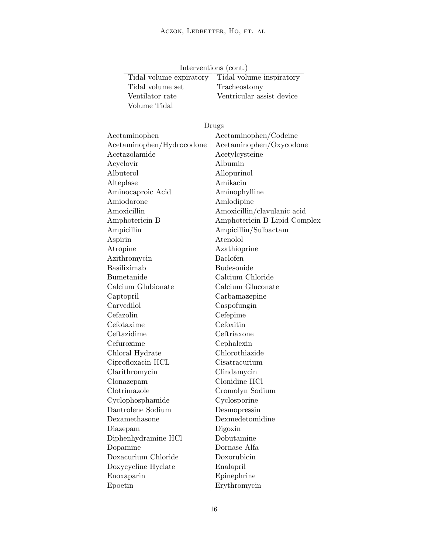| Tidal volume set          | Tracheostomy                 |  |
|---------------------------|------------------------------|--|
| Ventilator rate           | Ventricular assist device    |  |
| Volume Tidal              |                              |  |
|                           |                              |  |
| Drugs                     |                              |  |
| Acetaminophen             | Acetaminophen/Codeine        |  |
| Acetaminophen/Hydrocodone | Acetaminophen/Oxycodone      |  |
| Acetazolamide             | Acetylcysteine               |  |
| Acyclovir                 | Albumin                      |  |
| Albuterol                 | Allopurinol                  |  |
| Alteplase                 | Amikacin                     |  |
| Aminocaproic Acid         | Aminophylline                |  |
| Amiodarone                | Amlodipine                   |  |
| Amoxicillin               | Amoxicillin/clavulanic acid  |  |
| Amphotericin B            | Amphotericin B Lipid Complex |  |
| Ampicillin                | Ampicillin/Sulbactam         |  |
| Aspirin                   | Atenolol                     |  |
| Atropine                  | Azathioprine                 |  |
| Azithromycin              | Baclofen                     |  |
| Basiliximab               | <b>Budesonide</b>            |  |
| Bumetanide                | Calcium Chloride             |  |
| Calcium Glubionate        | Calcium Gluconate            |  |
| Captopril                 | Carbamazepine                |  |
| Carvedilol                | Caspofungin                  |  |
| Cefazolin                 | Cefepime                     |  |
| Cefotaxime                | Cefoxitin                    |  |
| Ceftazidime               | Ceftriaxone                  |  |
| Cefuroxime                | Cephalexin                   |  |
| Chloral Hydrate           | Chlorothiazide               |  |
| Ciprofloxacin HCL         | Cisatracurium                |  |
| Clarithromycin            | Clindamycin                  |  |
| Clonazepam                | Clonidine HCl                |  |
| Clotrimazole              | Cromolyn Sodium              |  |
| Cyclophosphamide          | Cyclosporine                 |  |
| Dantrolene Sodium         | Desmopressin                 |  |
| Dexamethasone             | Dexmedetomidine              |  |
| Diazepam                  | Digoxin                      |  |
| Diphenhydramine HCl       | Dobutamine                   |  |
| Dopamine                  | Dornase Alfa                 |  |
| Doxacurium Chloride       | Doxorubicin                  |  |
| Doxycycline Hyclate       | Enalapril                    |  |
| Enoxaparin                | Epinephrine                  |  |
| Epoetin                   | Erythromycin                 |  |

Interventions (cont.) Tidal volume expiratory Tidal volume inspiratory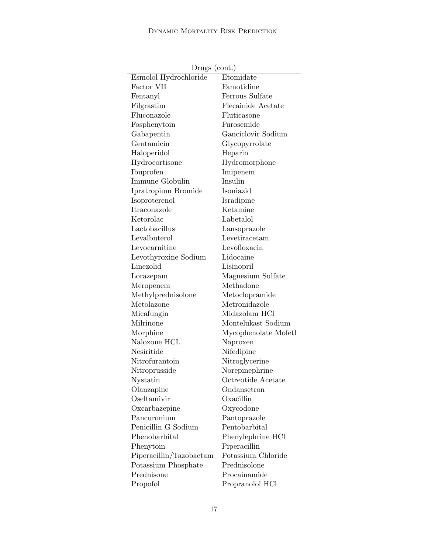| $D_{\text{L}}$ ugs (com.) |
|---------------------------|
| Etomidate                 |
| Famotidine                |
| Ferrous Sulfate           |
| Flecainide Acetate        |
| Fluticasone               |
| Furosemide                |
| Ganciclovir Sodium        |
| Glycopyrrolate            |
| Heparin                   |
| Hydromorphone             |
| Imipenem                  |
| Insulin                   |
| Isoniazid                 |
| Isradipine                |
| Ketamine                  |
| Labetalol                 |
| Lansoprazole              |
| Levetiracetam             |
| Levofloxacin              |
| Lidocaine                 |
| Lisinopril                |
| Magnesium Sulfate         |
| Methadone                 |
| Metoclopramide            |
| Metronidazole             |
| Midazolam HCl             |
| Montelukast Sodium        |
| Mycophenolate Mofetl      |
| Naproxen                  |
| Nifedipine                |
| Nitroglycerine            |
| Norepinephrine            |
| Octreotide Acetate        |
| Ondansetron               |
| Oxacillin                 |
| Oxycodone                 |
| Pantoprazole              |
| Pentobarbital             |
| Phenylephrine HCl         |
| Piperacillin              |
| Potassium Chloride        |
| Prednisolone              |
| Procainamide              |
| Propranolol HCl           |
|                           |

Drugs (cont.)